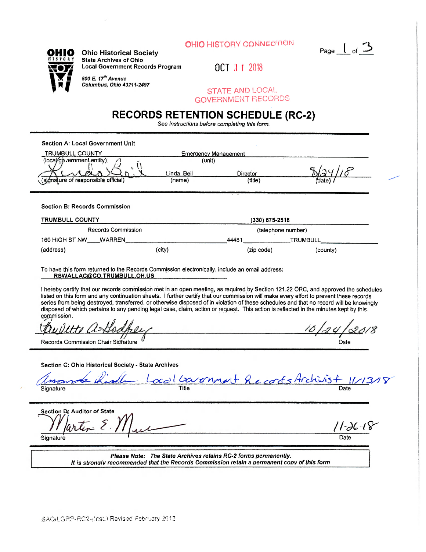



**OHIO** Ohio Historical Society **State Archives of Ohio nv** Local Government Records Program 0 **OCT**  $3 + 2018$ 

> *\ W m 800 E. 17\* Avenue*  I If *Columbus, Ohio 43211-2497*

*STATE AND LOCAL* GOVERNMENT **RECORDS** 

## **RECORDS RETENTION SCHEDULE (RC-2)**

See *instructions before completing this form.* 

| <b>Section A: Local Government Unit</b>                                                                                                                                                                                                                                                                                                                                                                                                                                                                                                                                                       |                             |            |                                                         |  |  |  |  |
|-----------------------------------------------------------------------------------------------------------------------------------------------------------------------------------------------------------------------------------------------------------------------------------------------------------------------------------------------------------------------------------------------------------------------------------------------------------------------------------------------------------------------------------------------------------------------------------------------|-----------------------------|------------|---------------------------------------------------------|--|--|--|--|
| TRUMBULL COUNTY                                                                                                                                                                                                                                                                                                                                                                                                                                                                                                                                                                               | <b>Emergency Management</b> |            |                                                         |  |  |  |  |
| (local/government.entity)                                                                                                                                                                                                                                                                                                                                                                                                                                                                                                                                                                     | (unit)<br>Linda Beil        | Director   |                                                         |  |  |  |  |
| (signalure of responsible official)                                                                                                                                                                                                                                                                                                                                                                                                                                                                                                                                                           | (name)                      | (title)    |                                                         |  |  |  |  |
| <b>Section B: Records Commission</b>                                                                                                                                                                                                                                                                                                                                                                                                                                                                                                                                                          |                             |            |                                                         |  |  |  |  |
| TRUMBULL COUNTY                                                                                                                                                                                                                                                                                                                                                                                                                                                                                                                                                                               | $(330)$ 675-2518            |            |                                                         |  |  |  |  |
| Records Commission                                                                                                                                                                                                                                                                                                                                                                                                                                                                                                                                                                            |                             |            | (telephone number)                                      |  |  |  |  |
| 160 HIGH ST NW WARREN                                                                                                                                                                                                                                                                                                                                                                                                                                                                                                                                                                         |                             | 44481      | <b>TRUMBULL</b>                                         |  |  |  |  |
| (address)                                                                                                                                                                                                                                                                                                                                                                                                                                                                                                                                                                                     | (city)                      | (zip code) | (county)                                                |  |  |  |  |
| To have this form returned to the Records Commission electronically, include an email address;<br>RSWALLAC@CO.TRUMBULL.OH.US                                                                                                                                                                                                                                                                                                                                                                                                                                                                  |                             |            |                                                         |  |  |  |  |
| I hereby certify that our records commission met in an open meeting, as required by Section 121.22 ORC, and approved the schedules<br>listed on this form and any continuation sheets. I further certify that our commission will make every effort to prevent these records<br>series from being destroyed, transferred, or otherwise disposed of in violation of these schedules and that no record will be knowingly<br>disposed of which pertains to any pending legal case, claim, action or request. This action is reflected in the minutes kept by this<br>commission.<br>tte a Godne |                             |            |                                                         |  |  |  |  |
| Records Commission Chair Sidhature                                                                                                                                                                                                                                                                                                                                                                                                                                                                                                                                                            |                             |            | Date                                                    |  |  |  |  |
| Section C: Ohio Historical Society - State Archives<br>Sianature                                                                                                                                                                                                                                                                                                                                                                                                                                                                                                                              |                             |            | <u>La Kidle Local Covernment Records Archivist 1/13</u> |  |  |  |  |
| Section D: Auditor of State<br>artin E.V.<br>Signature                                                                                                                                                                                                                                                                                                                                                                                                                                                                                                                                        |                             |            | '   -IC -18                                             |  |  |  |  |
| Please Note: The State Archives retains RC-2 forms permanently.<br>It is strongly recommended that the Records Commission retain a permanent copy of this form                                                                                                                                                                                                                                                                                                                                                                                                                                |                             |            |                                                         |  |  |  |  |
|                                                                                                                                                                                                                                                                                                                                                                                                                                                                                                                                                                                               |                             |            |                                                         |  |  |  |  |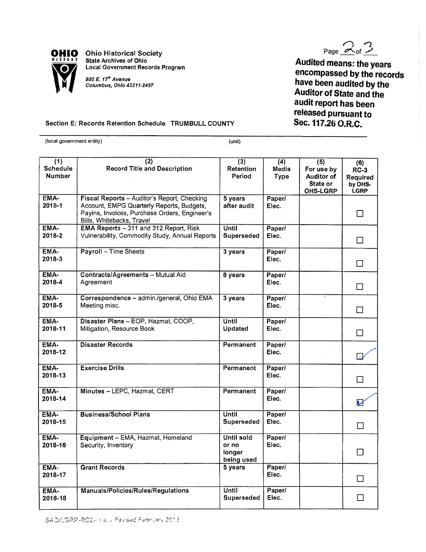

**Ohio Historical Society State Archives of Ohio**<br> **Local Government Records Program CHIO** Ohio Historical Society<br> **Local Government Records Program**<br> *800 E. 17<sup>th</sup> Avenue Columbus, Ohio 43211-2497*<br> *Records Program* 

*Columbus, Ohio 43211-2497* 

Page  $2^{0}$ 

**Audited means: the years encompassed by the records have been audited by the Auditor of State and the audit report has been released pursuant to Sec. 117.26 O.R.C.** 

## **Section E: Records Retention Schedule TRUMBULL COUNTY**

(local government entity) (unit)

| (1)<br><b>Schedule</b><br>Number | (2)<br><b>Record Title and Description</b>                                                                                                                             | (3)<br>Retention<br>Period                         | (4)<br>Media<br><b>Type</b> | (5)<br>For use by<br>Auditor of<br>State or<br>OHS-LGRP | (6)<br><b>RC-3</b><br>Required<br>by OHS-<br>LGRP |
|----------------------------------|------------------------------------------------------------------------------------------------------------------------------------------------------------------------|----------------------------------------------------|-----------------------------|---------------------------------------------------------|---------------------------------------------------|
| EMA-<br>2018-1                   | Fiscal Reports - Auditor's Report, Checking<br>Account, EMPG Quarterly Reports, Budgets,<br>Payins, Invoices, Purchase Orders, Engineer's<br>Bills, Whitebacks, Travel | 5 years<br>after audit                             | Paper/<br>Elec.             |                                                         | $\perp$                                           |
| EMA-<br>2018-2                   | EMA Reports - 311 and 312 Report, Risk<br>Vulnerability, Commodity Study, Annual Reports                                                                               | Until<br>Superseded                                | Paper/<br>Elec.             |                                                         | П                                                 |
| EMA-<br>2018-3                   | Payroll - Time Sheets                                                                                                                                                  | 3 years                                            | Paper/<br>Elec.             |                                                         | $\Box$                                            |
| EMA-<br>2018-4                   | Contracts/Agreements - Mutual Aid<br>Agreement                                                                                                                         | 8 years                                            | Paper/<br>Elec.             |                                                         | $\Box$                                            |
| EMA-<br>2018-5                   | Correspondence - admin./general, Ohio EMA<br>Meeting misc.                                                                                                             | 3 years                                            | Paper/<br>Elec.             |                                                         | $\Box$                                            |
| EMA-<br>2018-11                  | Disaster Plans - EOP, Hazmat, COOP,<br>Mitigation, Resource Book-                                                                                                      | Until<br>Updated                                   | Paper/<br>Elec.             |                                                         | $\Box$                                            |
| EMA-<br>2018-12                  | <b>Disaster Records</b>                                                                                                                                                | Permanent                                          | Paper/<br>Elec.             |                                                         | $\overline{a}$                                    |
| EMA-<br>2018-13                  | <b>Exercise Drills</b>                                                                                                                                                 | Permanent                                          | Paper/<br>Elec.             |                                                         | П                                                 |
| EMA-<br>2018-14                  | Minutes - LEPC, Hazmat, CERT                                                                                                                                           | Permanent                                          | Paper/<br>Elec.             |                                                         | V                                                 |
| EMA-<br>2018-15                  | <b>Business/School Plans</b>                                                                                                                                           | Until<br>Superseded                                | Paper/<br>Elec.             |                                                         | П                                                 |
| EMA-<br>2018-16                  | Equipment - EMA, Hazmat, Homeland<br>Security, Inventory                                                                                                               | <b>Until sold</b><br>or no<br>longer<br>being used | Paper/<br>Elec.             |                                                         | П                                                 |
| EMA-<br>2018-17                  | <b>Grant Records</b>                                                                                                                                                   | 5 years                                            | Paper/<br>Elec.             |                                                         | П                                                 |
| EMA-<br>2018-18                  | Manuals/Policies/Rules/Regulations                                                                                                                                     | Until<br><b>Superseded</b>                         | Paper/<br>Elec.             |                                                         | П                                                 |